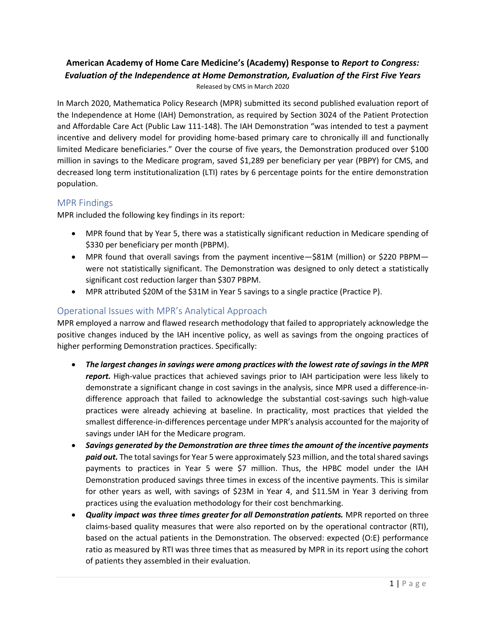## **American Academy of Home Care Medicine's (Academy) Response to** *Report to Congress: Evaluation of the Independence at Home Demonstration, Evaluation of the First Five Years* Released by CMS in March 2020

In March 2020, Mathematica Policy Research (MPR) submitted its second published evaluation report of the Independence at Home (IAH) Demonstration, as required by Section 3024 of the Patient Protection and Affordable Care Act (Public Law 111-148). The IAH Demonstration "was intended to test a payment incentive and delivery model for providing home-based primary care to chronically ill and functionally limited Medicare beneficiaries." Over the course of five years, the Demonstration produced over \$100 million in savings to the Medicare program, saved \$1,289 per beneficiary per year (PBPY) for CMS, and decreased long term institutionalization (LTI) rates by 6 percentage points for the entire demonstration population.

## MPR Findings

MPR included the following key findings in its report:

- MPR found that by Year 5, there was a statistically significant reduction in Medicare spending of \$330 per beneficiary per month (PBPM).
- MPR found that overall savings from the payment incentive—\$81M (million) or \$220 PBPM were not statistically significant. The Demonstration was designed to only detect a statistically significant cost reduction larger than \$307 PBPM.
- MPR attributed \$20M of the \$31M in Year 5 savings to a single practice (Practice P).

## Operational Issues with MPR's Analytical Approach

MPR employed a narrow and flawed research methodology that failed to appropriately acknowledge the positive changes induced by the IAH incentive policy, as well as savings from the ongoing practices of higher performing Demonstration practices. Specifically:

- *The largest changes in savings were among practices with the lowest rate of savings in the MPR report.* High-value practices that achieved savings prior to IAH participation were less likely to demonstrate a significant change in cost savings in the analysis, since MPR used a difference-indifference approach that failed to acknowledge the substantial cost-savings such high-value practices were already achieving at baseline. In practicality, most practices that yielded the smallest difference-in-differences percentage under MPR's analysis accounted for the majority of savings under IAH for the Medicare program.
- *Savings generated by the Demonstration are three times the amount of the incentive payments paid out.* The total savings for Year 5 were approximately \$23 million, and the total shared savings payments to practices in Year 5 were \$7 million. Thus, the HPBC model under the IAH Demonstration produced savings three times in excess of the incentive payments. This is similar for other years as well, with savings of \$23M in Year 4, and \$11.5M in Year 3 deriving from practices using the evaluation methodology for their cost benchmarking.
- *Quality impact was three times greater for all Demonstration patients.* MPR reported on three claims-based quality measures that were also reported on by the operational contractor (RTI), based on the actual patients in the Demonstration. The observed: expected (O:E) performance ratio as measured by RTI was three times that as measured by MPR in its report using the cohort of patients they assembled in their evaluation.